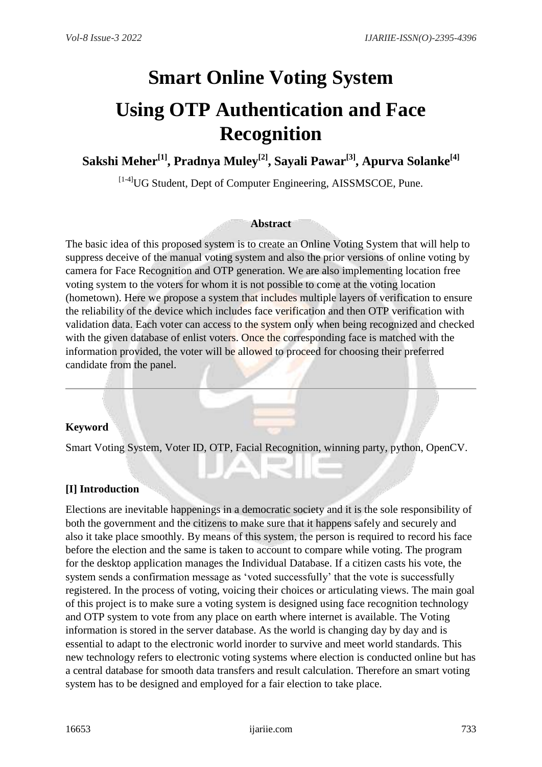# **Smart Online Voting System Using OTP Authentication and Face Recognition**

**Sakshi Meher[1], Pradnya Muley[2], Sayali Pawar[3], Apurva Solanke[4]**

 $^{[14]}$ UG Student, Dept of Computer Engineering, AISSMSCOE, Pune.

#### **Abstract**

The basic idea of this proposed system is to create an Online Voting System that will help to suppress deceive of the manual voting system and also the prior versions of online voting by camera for Face Recognition and OTP generation. We are also implementing location free voting system to the voters for whom it is not possible to come at the voting location (hometown). Here we propose a system that includes multiple layers of verification to ensure the reliability of the device which includes face verification and then OTP verification with validation data. Each voter can access to the system only when being recognized and checked with the given database of enlist voters. Once the corresponding face is matched with the information provided, the voter will be allowed to proceed for choosing their preferred candidate from the panel.

#### **Keyword**

Smart Voting System, Voter ID, OTP, Facial Recognition, winning party, python, OpenCV.

#### **[I] Introduction**

Elections are inevitable happenings in a democratic society and it is the sole responsibility of both the government and the citizens to make sure that it happens safely and securely and also it take place smoothly. By means of this system, the person is required to record his face before the election and the same is taken to account to compare while voting. The program for the desktop application manages the Individual Database. If a citizen casts his vote, the system sends a confirmation message as 'voted successfully' that the vote is successfully registered. In the process of voting, voicing their choices or articulating views. The main goal of this project is to make sure a voting system is designed using face recognition technology and OTP system to vote from any place on earth where internet is available. The Voting information is stored in the server database. As the world is changing day by day and is essential to adapt to the electronic world inorder to survive and meet world standards. This new technology refers to electronic voting systems where election is conducted online but has a central database for smooth data transfers and result calculation. Therefore an smart voting system has to be designed and employed for a fair election to take place.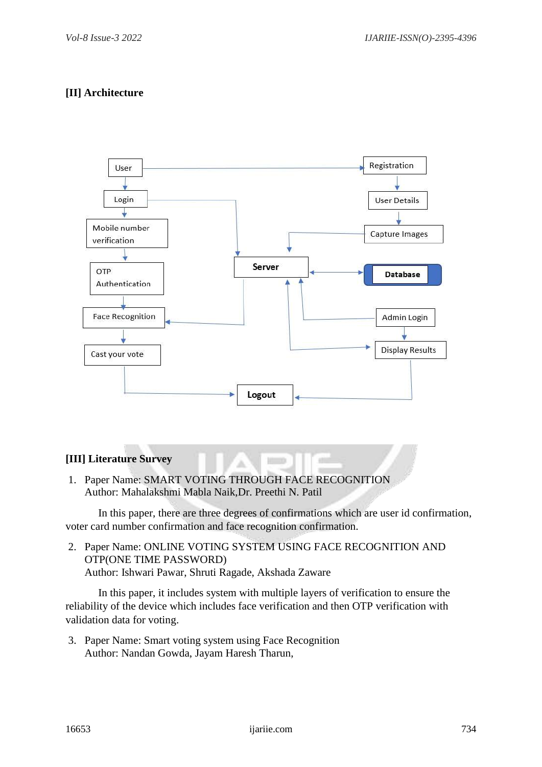# **[II] Architecture**



#### **[III] Literature Survey**

1. Paper Name: SMART VOTING THROUGH FACE RECOGNITION Author: Mahalakshmi Mabla Naik,Dr. Preethi N. Patil

In this paper, there are three degrees of confirmations which are user id confirmation, voter card number confirmation and face recognition confirmation.

10

2. Paper Name: ONLINE VOTING SYSTEM USING FACE RECOGNITION AND OTP(ONE TIME PASSWORD) Author: Ishwari Pawar, Shruti Ragade, Akshada Zaware

In this paper, it includes system with multiple layers of verification to ensure the reliability of the device which includes face verification and then OTP verification with validation data for voting.

3. Paper Name: Smart voting system using Face Recognition Author: Nandan Gowda, Jayam Haresh Tharun,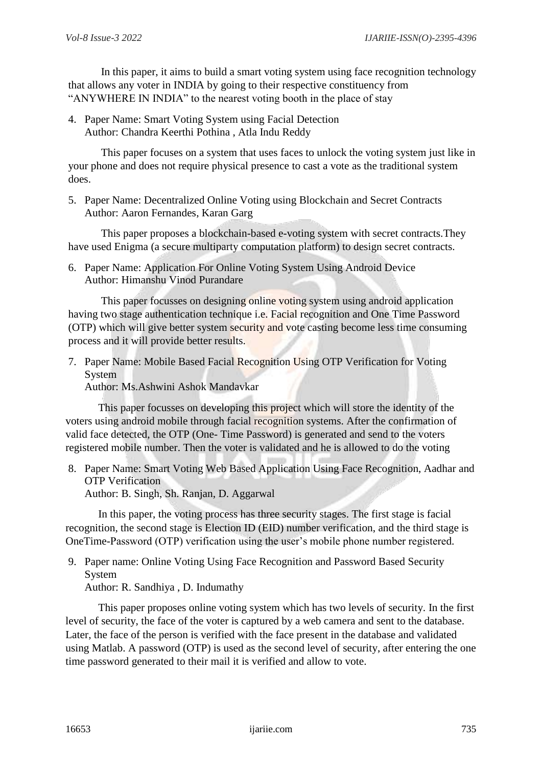In this paper, it aims to build a smart voting system using face recognition technology that allows any voter in INDIA by going to their respective constituency from "ANYWHERE IN INDIA" to the nearest voting booth in the place of stay

4. Paper Name: Smart Voting System using Facial Detection Author: Chandra Keerthi Pothina , Atla Indu Reddy

This paper focuses on a system that uses faces to unlock the voting system just like in your phone and does not require physical presence to cast a vote as the traditional system does.

5. Paper Name: Decentralized Online Voting using Blockchain and Secret Contracts Author: Aaron Fernandes, Karan Garg

This paper proposes a blockchain-based e-voting system with secret contracts.They have used Enigma (a secure multiparty computation platform) to design secret contracts.

6. Paper Name: Application For Online Voting System Using Android Device Author: Himanshu Vinod Purandare

This paper focusses on designing online voting system using android application having two stage authentication technique *i.e.* Facial recognition and One Time Password (OTP) which will give better system security and vote casting become less time consuming process and it will provide better results.

7. Paper Name: Mobile Based Facial Recognition Using OTP Verification for Voting System

Author: Ms.Ashwini Ashok Mandavkar

This paper focusses on developing this project which will store the identity of the voters using android mobile through facial recognition systems. After the confirmation of valid face detected, the OTP (One- Time Password) is generated and send to the voters registered mobile number. Then the voter is validated and he is allowed to do the voting

8. Paper Name: Smart Voting Web Based Application Using Face Recognition, Aadhar and OTP Verification Author: B. Singh, Sh. Ranjan, D. Aggarwal

In this paper, the voting process has three security stages. The first stage is facial recognition, the second stage is Election ID (EID) number verification, and the third stage is OneTime-Password (OTP) verification using the user's mobile phone number registered.

9. Paper name: Online Voting Using Face Recognition and Password Based Security System

Author: R. Sandhiya , D. Indumathy

This paper proposes online voting system which has two levels of security. In the first level of security, the face of the voter is captured by a web camera and sent to the database. Later, the face of the person is verified with the face present in the database and validated using Matlab. A password (OTP) is used as the second level of security, after entering the one time password generated to their mail it is verified and allow to vote.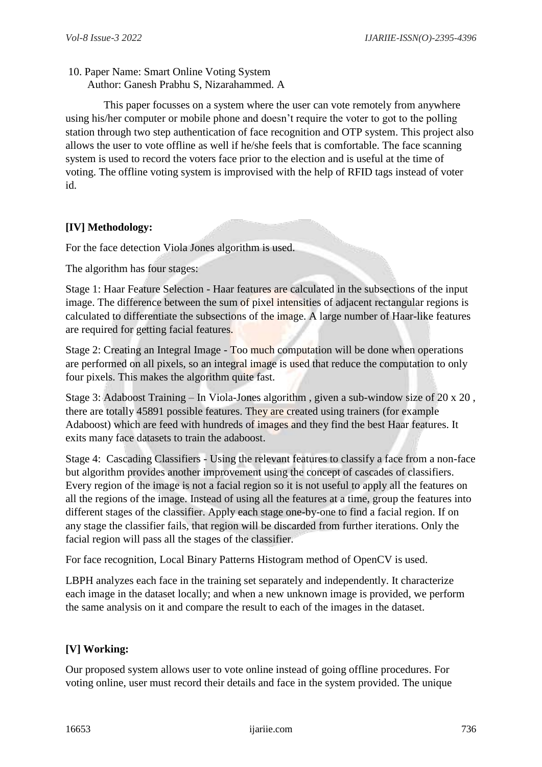10. Paper Name: Smart Online Voting System Author: Ganesh Prabhu S, Nizarahammed. A

 This paper focusses on a system where the user can vote remotely from anywhere using his/her computer or mobile phone and doesn't require the voter to got to the polling station through two step authentication of face recognition and OTP system. This project also allows the user to vote offline as well if he/she feels that is comfortable. The face scanning system is used to record the voters face prior to the election and is useful at the time of voting. The offline voting system is improvised with the help of RFID tags instead of voter id.

# **[IV] Methodology:**

For the face detection Viola Jones algorithm is used.

The algorithm has four stages:

Stage 1: Haar Feature Selection - Haar features are calculated in the subsections of the input image. The difference between the sum of pixel intensities of adjacent rectangular regions is calculated to differentiate the subsections of the image. A large number of Haar-like features are required for getting facial features.

Stage 2: Creating an Integral Image - Too much computation will be done when operations are performed on all pixels, so an integral image is used that reduce the computation to only four pixels. This makes the algorithm quite fast.

Stage 3: Adaboost Training – In Viola-Jones algorithm , given a sub-window size of 20 x 20 , there are totally 45891 possible features. They are created using trainers (for example Adaboost) which are feed with hundreds of images and they find the best Haar features. It exits many face datasets to train the adaboost.

Stage 4: Cascading Classifiers - Using the relevant features to classify a face from a non-face but algorithm provides another improvement using the concept of cascades of classifiers. Every region of the image is not a facial region so it is not useful to apply all the features on all the regions of the image. Instead of using all the features at a time, group the features into different stages of the classifier. Apply each stage one-by-one to find a facial region. If on any stage the classifier fails, that region will be discarded from further iterations. Only the facial region will pass all the stages of the classifier.

For face recognition, Local Binary Patterns Histogram method of OpenCV is used.

LBPH analyzes each face in the training set separately and independently. It characterize each image in the dataset locally; and when a new unknown image is provided, we perform the same analysis on it and compare the result to each of the images in the dataset.

# **[V] Working:**

Our proposed system allows user to vote online instead of going offline procedures. For voting online, user must record their details and face in the system provided. The unique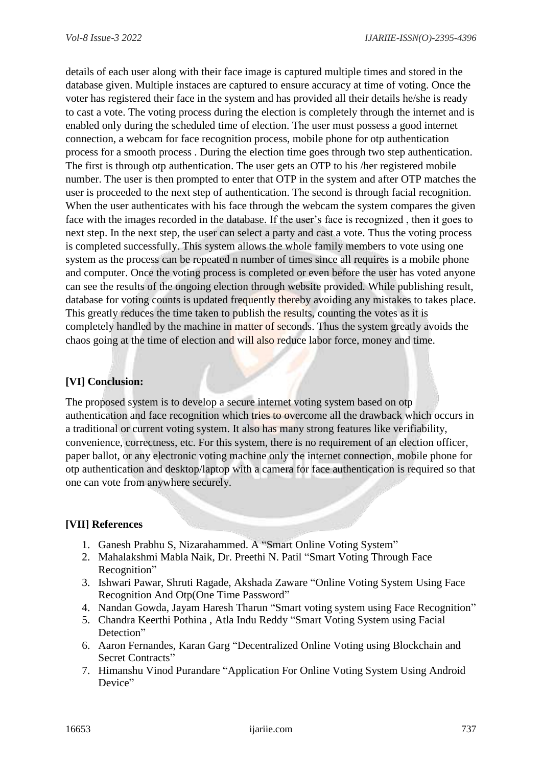details of each user along with their face image is captured multiple times and stored in the database given. Multiple instaces are captured to ensure accuracy at time of voting. Once the voter has registered their face in the system and has provided all their details he/she is ready to cast a vote. The voting process during the election is completely through the internet and is enabled only during the scheduled time of election. The user must possess a good internet connection, a webcam for face recognition process, mobile phone for otp authentication process for a smooth process . During the election time goes through two step authentication. The first is through otp authentication. The user gets an OTP to his /her registered mobile number. The user is then prompted to enter that OTP in the system and after OTP matches the user is proceeded to the next step of authentication. The second is through facial recognition. When the user authenticates with his face through the webcam the system compares the given face with the images recorded in the database. If the user's face is recognized , then it goes to next step. In the next step, the user can select a party and cast a vote. Thus the voting process is completed successfully. This system allows the whole family members to vote using one system as the process can be repeated n number of times since all requires is a mobile phone and computer. Once the voting process is completed or even before the user has voted anyone can see the results of the ongoing election through website provided. While publishing result, database for voting counts is updated frequently thereby avoiding any mistakes to takes place. This greatly reduces the time taken to publish the results, counting the votes as it is completely handled by the machine in matter of seconds. Thus the system greatly avoids the chaos going at the time of election and will also reduce labor force, money and time.

### **[VI] Conclusion:**

The proposed system is to develop a secure internet voting system based on otp authentication and face recognition which tries to overcome all the drawback which occurs in a traditional or current voting system. It also has many strong features like verifiability, convenience, correctness, etc. For this system, there is no requirement of an election officer, paper ballot, or any electronic voting machine only the internet connection, mobile phone for otp authentication and desktop/laptop with a camera for face authentication is required so that one can vote from anywhere securely.

#### **[VII] References**

- 1. Ganesh Prabhu S, Nizarahammed. A "Smart Online Voting System"
- 2. Mahalakshmi Mabla Naik, Dr. Preethi N. Patil "Smart Voting Through Face Recognition"
- 3. Ishwari Pawar, Shruti Ragade, Akshada Zaware "Online Voting System Using Face Recognition And Otp(One Time Password"
- 4. Nandan Gowda, Jayam Haresh Tharun "Smart voting system using Face Recognition"
- 5. Chandra Keerthi Pothina , Atla Indu Reddy "Smart Voting System using Facial Detection"
- 6. Aaron Fernandes, Karan Garg "Decentralized Online Voting using Blockchain and Secret Contracts"
- 7. Himanshu Vinod Purandare "Application For Online Voting System Using Android Device"